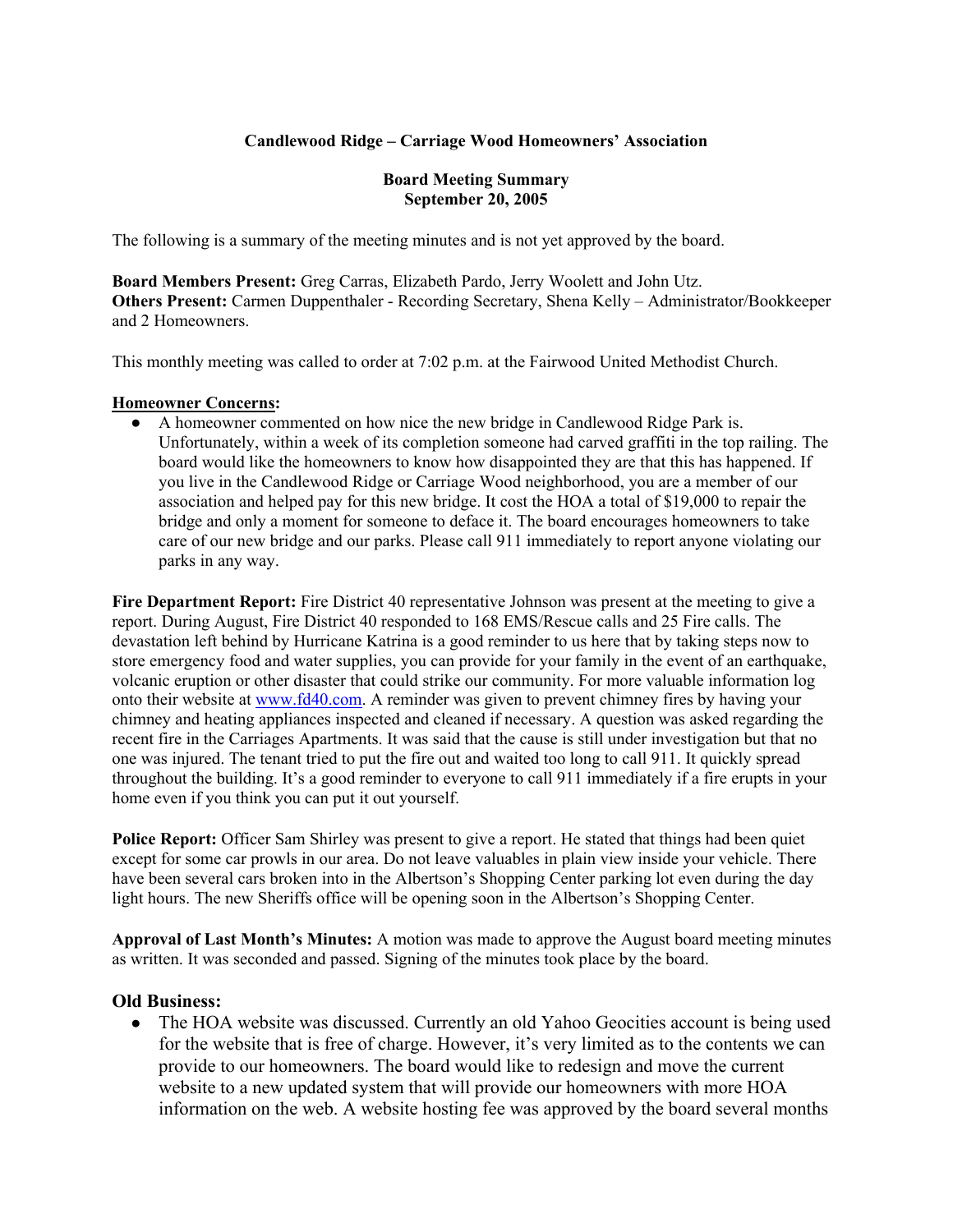### **Candlewood Ridge – Carriage Wood Homeowners' Association**

#### **Board Meeting Summary September 20, 2005**

The following is a summary of the meeting minutes and is not yet approved by the board.

**Board Members Present:** Greg Carras, Elizabeth Pardo, Jerry Woolett and John Utz. **Others Present:** Carmen Duppenthaler - Recording Secretary, Shena Kelly – Administrator/Bookkeeper and 2 Homeowners.

This monthly meeting was called to order at 7:02 p.m. at the Fairwood United Methodist Church.

#### **Homeowner Concerns:**

● A homeowner commented on how nice the new bridge in Candlewood Ridge Park is. Unfortunately, within a week of its completion someone had carved graffiti in the top railing. The board would like the homeowners to know how disappointed they are that this has happened. If you live in the Candlewood Ridge or Carriage Wood neighborhood, you are a member of our association and helped pay for this new bridge. It cost the HOA a total of \$19,000 to repair the bridge and only a moment for someone to deface it. The board encourages homeowners to take care of our new bridge and our parks. Please call 911 immediately to report anyone violating our parks in any way.

**Fire Department Report:** Fire District 40 representative Johnson was present at the meeting to give a report. During August, Fire District 40 responded to 168 EMS/Rescue calls and 25 Fire calls. The devastation left behind by Hurricane Katrina is a good reminder to us here that by taking steps now to store emergency food and water supplies, you can provide for your family in the event of an earthquake, volcanic eruption or other disaster that could strike our community. For more valuable information log onto their website at www.fd40.com. A reminder was given to prevent chimney fires by having your chimney and heating appliances inspected and cleaned if necessary. A question was asked regarding the recent fire in the Carriages Apartments. It was said that the cause is still under investigation but that no one was injured. The tenant tried to put the fire out and waited too long to call 911. It quickly spread throughout the building. It's a good reminder to everyone to call 911 immediately if a fire erupts in your home even if you think you can put it out yourself.

**Police Report:** Officer Sam Shirley was present to give a report. He stated that things had been quiet except for some car prowls in our area. Do not leave valuables in plain view inside your vehicle. There have been several cars broken into in the Albertson's Shopping Center parking lot even during the day light hours. The new Sheriffs office will be opening soon in the Albertson's Shopping Center.

**Approval of Last Month's Minutes:** A motion was made to approve the August board meeting minutes as written. It was seconded and passed. Signing of the minutes took place by the board.

#### **Old Business:**

• The HOA website was discussed. Currently an old Yahoo Geocities account is being used for the website that is free of charge. However, it's very limited as to the contents we can provide to our homeowners. The board would like to redesign and move the current website to a new updated system that will provide our homeowners with more HOA information on the web. A website hosting fee was approved by the board several months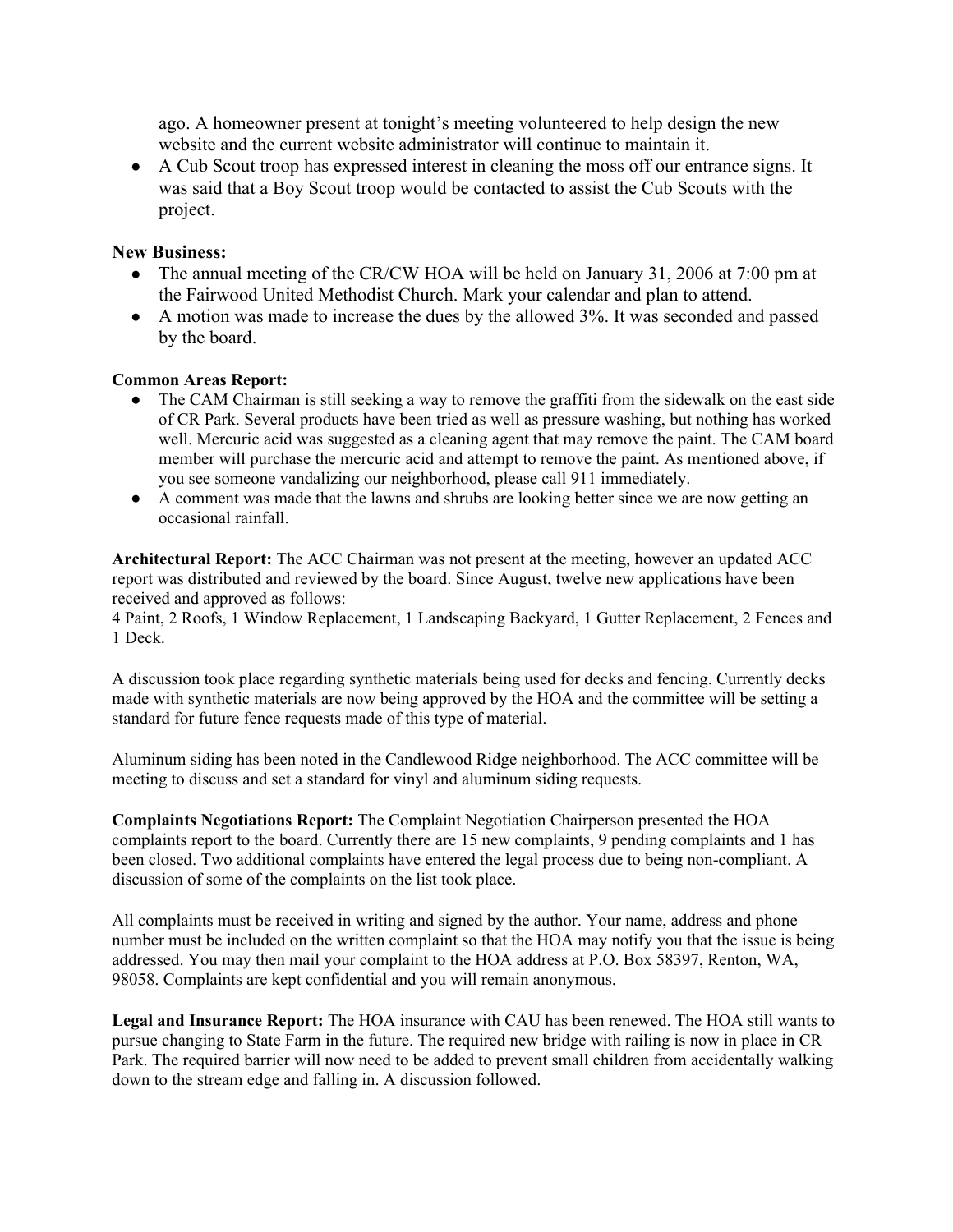ago. A homeowner present at tonight's meeting volunteered to help design the new website and the current website administrator will continue to maintain it.

● A Cub Scout troop has expressed interest in cleaning the moss off our entrance signs. It was said that a Boy Scout troop would be contacted to assist the Cub Scouts with the project.

### **New Business:**

- The annual meeting of the CR/CW HOA will be held on January 31, 2006 at 7:00 pm at the Fairwood United Methodist Church. Mark your calendar and plan to attend.
- A motion was made to increase the dues by the allowed 3%. It was seconded and passed by the board.

### **Common Areas Report:**

- The CAM Chairman is still seeking a way to remove the graffiti from the sidewalk on the east side of CR Park. Several products have been tried as well as pressure washing, but nothing has worked well. Mercuric acid was suggested as a cleaning agent that may remove the paint. The CAM board member will purchase the mercuric acid and attempt to remove the paint. As mentioned above, if you see someone vandalizing our neighborhood, please call 911 immediately.
- A comment was made that the lawns and shrubs are looking better since we are now getting an occasional rainfall.

**Architectural Report:** The ACC Chairman was not present at the meeting, however an updated ACC report was distributed and reviewed by the board. Since August, twelve new applications have been received and approved as follows:

4 Paint, 2 Roofs, 1 Window Replacement, 1 Landscaping Backyard, 1 Gutter Replacement, 2 Fences and 1 Deck.

A discussion took place regarding synthetic materials being used for decks and fencing. Currently decks made with synthetic materials are now being approved by the HOA and the committee will be setting a standard for future fence requests made of this type of material.

Aluminum siding has been noted in the Candlewood Ridge neighborhood. The ACC committee will be meeting to discuss and set a standard for vinyl and aluminum siding requests.

**Complaints Negotiations Report:** The Complaint Negotiation Chairperson presented the HOA complaints report to the board. Currently there are 15 new complaints, 9 pending complaints and 1 has been closed. Two additional complaints have entered the legal process due to being non-compliant. A discussion of some of the complaints on the list took place.

All complaints must be received in writing and signed by the author. Your name, address and phone number must be included on the written complaint so that the HOA may notify you that the issue is being addressed. You may then mail your complaint to the HOA address at P.O. Box 58397, Renton, WA, 98058. Complaints are kept confidential and you will remain anonymous.

**Legal and Insurance Report:** The HOA insurance with CAU has been renewed. The HOA still wants to pursue changing to State Farm in the future. The required new bridge with railing is now in place in CR Park. The required barrier will now need to be added to prevent small children from accidentally walking down to the stream edge and falling in. A discussion followed.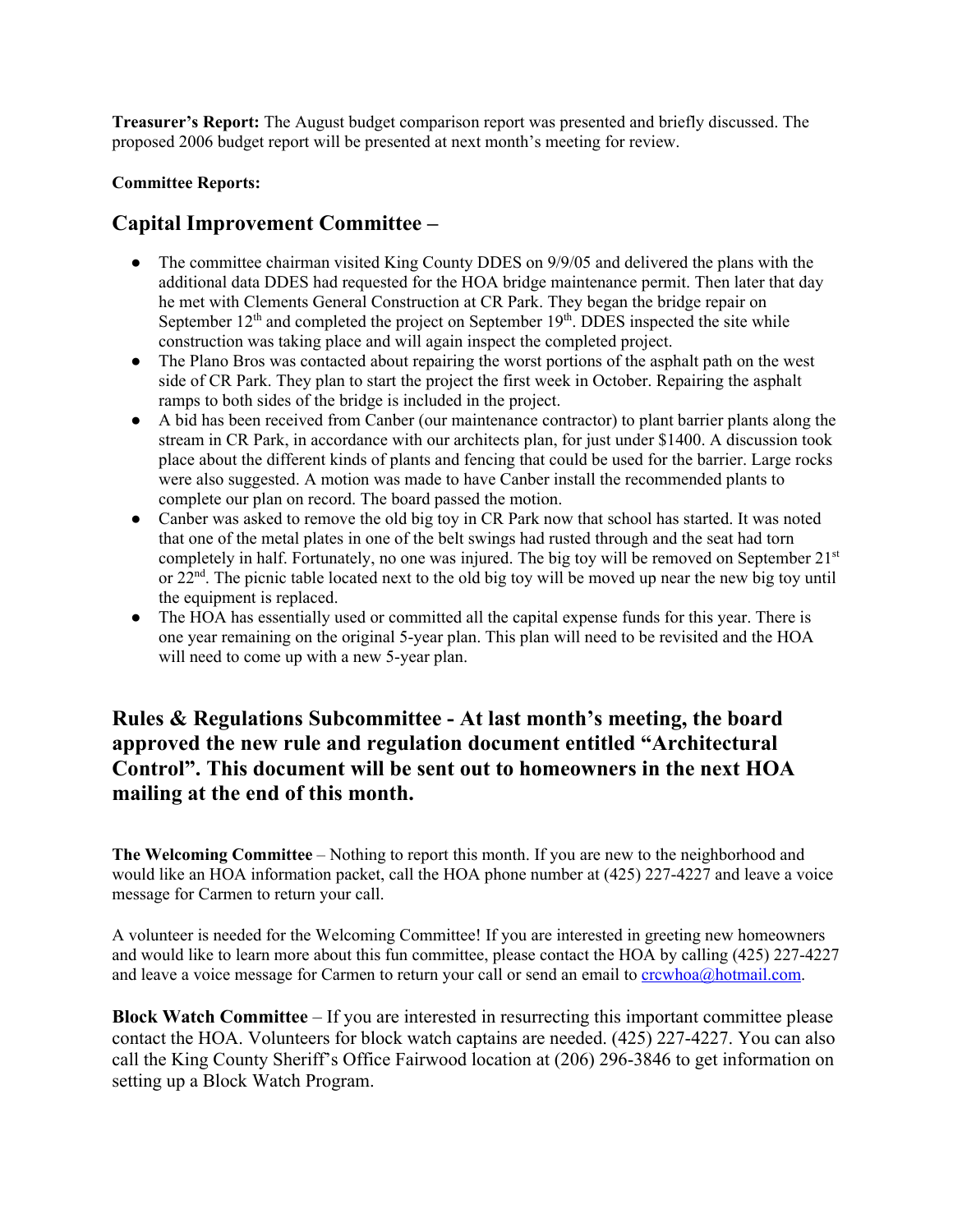**Treasurer's Report:** The August budget comparison report was presented and briefly discussed. The proposed 2006 budget report will be presented at next month's meeting for review.

#### **Committee Reports:**

## **Capital Improvement Committee –**

- The committee chairman visited King County DDES on 9/9/05 and delivered the plans with the additional data DDES had requested for the HOA bridge maintenance permit. Then later that day he met with Clements General Construction at CR Park. They began the bridge repair on September  $12<sup>th</sup>$  and completed the project on September  $19<sup>th</sup>$ . DDES inspected the site while construction was taking place and will again inspect the completed project.
- The Plano Bros was contacted about repairing the worst portions of the asphalt path on the west side of CR Park. They plan to start the project the first week in October. Repairing the asphalt ramps to both sides of the bridge is included in the project.
- A bid has been received from Canber (our maintenance contractor) to plant barrier plants along the stream in CR Park, in accordance with our architects plan, for just under \$1400. A discussion took place about the different kinds of plants and fencing that could be used for the barrier. Large rocks were also suggested. A motion was made to have Canber install the recommended plants to complete our plan on record. The board passed the motion.
- Canber was asked to remove the old big toy in CR Park now that school has started. It was noted that one of the metal plates in one of the belt swings had rusted through and the seat had torn completely in half. Fortunately, no one was injured. The big toy will be removed on September 21<sup>st</sup> or  $22<sup>nd</sup>$ . The picnic table located next to the old big toy will be moved up near the new big toy until the equipment is replaced.
- The HOA has essentially used or committed all the capital expense funds for this year. There is one year remaining on the original 5-year plan. This plan will need to be revisited and the HOA will need to come up with a new 5-year plan.

# **Rules & Regulations Subcommittee - At last month's meeting, the board approved the new rule and regulation document entitled "Architectural Control". This document will be sent out to homeowners in the next HOA mailing at the end of this month.**

**The Welcoming Committee** – Nothing to report this month. If you are new to the neighborhood and would like an HOA information packet, call the HOA phone number at (425) 227-4227 and leave a voice message for Carmen to return your call.

A volunteer is needed for the Welcoming Committee! If you are interested in greeting new homeowners and would like to learn more about this fun committee, please contact the HOA by calling (425) 227-4227 and leave a voice message for Carmen to return your call or send an email to crcwhoa@hotmail.com.

**Block Watch Committee** – If you are interested in resurrecting this important committee please contact the HOA. Volunteers for block watch captains are needed. (425) 227-4227. You can also call the King County Sheriff's Office Fairwood location at (206) 296-3846 to get information on setting up a Block Watch Program.